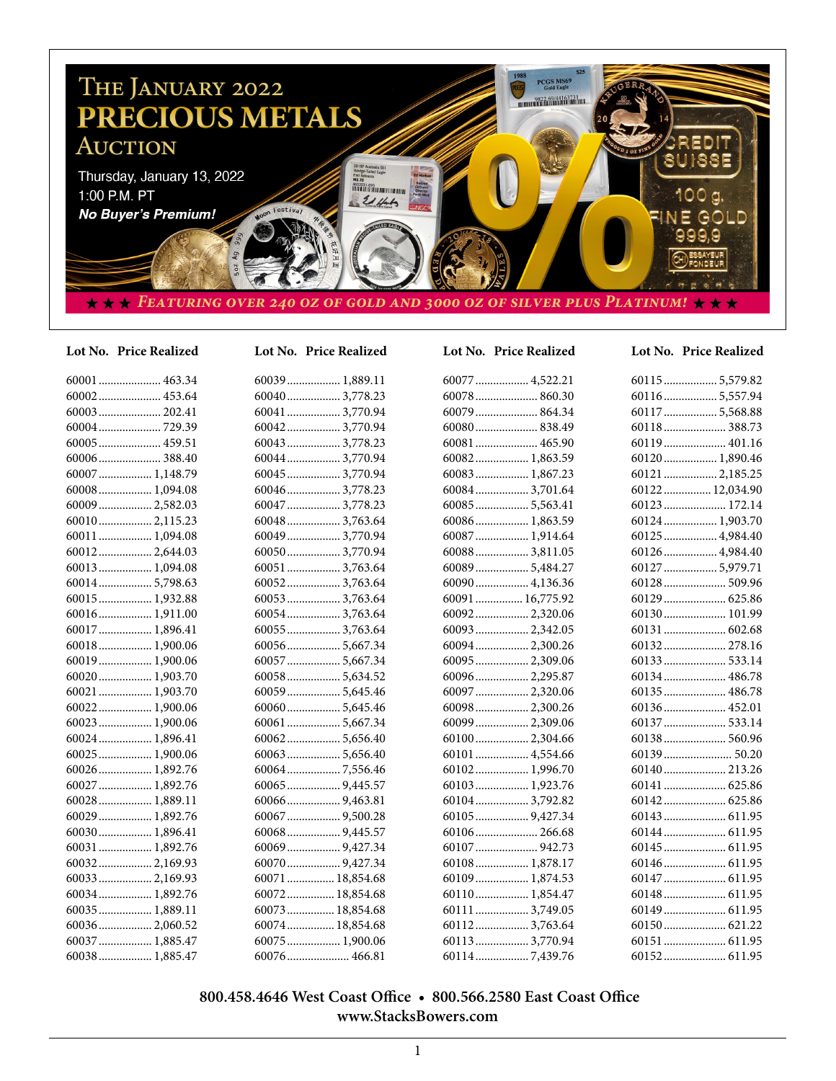

## **Lot No. Price Realized Lot No. Price Realized Lot No. Price Realized Lot No. Price Realized**

| 60001  463.34   |
|-----------------|
| 60002 453.64    |
|                 |
|                 |
| 60005 459.51    |
|                 |
| 60007  1,148.79 |
| 60008 1,094.08  |
| 60009  2,582.03 |
| 600102,115.23   |
| 60011  1,094.08 |
| 600122,644.03   |
| 60013 1,094.08  |
| 600145,798.63   |
| 60015  1,932.88 |
| 60016 1,911.00  |
| 60017 1,896.41  |
| 60018 1,900.06  |
| 60019  1,900.06 |
| 60020 1,903.70  |
| 60021  1,903.70 |
| 60022 1,900.06  |
| 60023 1,900.06  |
| 60024  1,896.41 |
| 60025  1,900.06 |
| 60026 1,892.76  |
| 60027  1,892.76 |
| 60028 1,889.11  |
| 60029  1,892.76 |
| 60030 1,896.41  |
| 60031  1,892.76 |
| 600322,169.93   |
| 600332,169.93   |
| 60034  1,892.76 |
| 60035  1,889.11 |
| 60036 2,060.52  |
| 60037  1,885.47 |

60038.................. 1,885.47

| 60039  1,889.11  |
|------------------|
| 60040 3,778.23   |
| 60041  3,770.94  |
| 600423,770.94    |
| 60043  3,778.23  |
| 60044  3,770.94  |
| 60045  3,770.94  |
| 60046  3,778.23  |
| 60047  3,778.23  |
| 60048  3,763.64  |
| 60049  3,770.94  |
| 60050  3,770.94  |
| 60051  3,763.64  |
| 600523,763.64    |
| 600533,763.64    |
| 600543,763.64    |
| 60055  3,763.64  |
| 600565,667.34    |
| 60057  5,667.34  |
| 60058 5,634.52   |
| 60059  5,645.46  |
| 600605,645.46    |
| 60061  5,667.34  |
| 60062 5,656.40   |
| 60063  5,656.40  |
|                  |
|                  |
| 60066  9,463.81  |
| 60067  9,500.28  |
| 60068  9,445.57  |
| 60069  9,427.34  |
| 60070  9,427.34  |
| 60071  18,854.68 |
| 60072  18,854.68 |
| 60073  18,854.68 |
| 60074 18,854.68  |

60075.................. 1,900.06 60076..................... 466.81

| 60077  4,522.21  |  |
|------------------|--|
| 60078 860.30     |  |
| 60079 864.34     |  |
| 60080 838.49     |  |
| 60081  465.90    |  |
| 60082 1,863.59   |  |
| 60083  1,867.23  |  |
| 60084  3,701.64  |  |
| 60085  5,563.41  |  |
| 60086 1,863.59   |  |
| 60087  1,914.64  |  |
| 600883,811.05    |  |
| 60089  5,484.27  |  |
| 60090  4,136.36  |  |
| 60091  16,775.92 |  |
| 60092 2,320.06   |  |
| 60093  2,342.05  |  |
| 60094  2,300.26  |  |
| 60095  2,309.06  |  |
| 60096 2,295.87   |  |
| 60097  2,320.06  |  |
| 60098  2,300.26  |  |
| 60099  2,309.06  |  |
| 60100 2,304.66   |  |
| 60101  4,554.66  |  |
| 60102 1,996.70   |  |
| 60103  1,923.76  |  |
| 60104  3,792.82  |  |
| 60105  9,427.34  |  |
| 60106 266.68     |  |
| 60107  942.73    |  |
| 60108 1,878.17   |  |
| 60109 1,874.53   |  |
| 60110 1,854.47   |  |
| 60111  3,749.05  |  |
| 601123,763.64    |  |
| 601133,770.94    |  |
|                  |  |

| 60115  5,579.82 |  |
|-----------------|--|
| 60116 5,557.94  |  |
| 60117  5,568.88 |  |
| 60118 388.73    |  |
| 60119 401.16    |  |
| 60120 1,890.46  |  |
| 60121  2,185.25 |  |
| 60122 12,034.90 |  |
| 60123 172.14    |  |
| 60124  1,903.70 |  |
| 60125  4,984.40 |  |
| 60126 4,984.40  |  |
| 60127  5,979.71 |  |
|                 |  |
| 60129 625.86    |  |
| 60130 101.99    |  |
|                 |  |
| 60132 278.16    |  |
|                 |  |
| 60134 486.78    |  |
| 60135 486.78    |  |
| 60136 452.01    |  |
| 60137  533.14   |  |
| 60138 560.96    |  |
|                 |  |
| 60140 213.26    |  |
| 60141  625.86   |  |
|                 |  |
|                 |  |
| 60144  611.95   |  |
|                 |  |
|                 |  |
| 60147  611.95   |  |
|                 |  |
|                 |  |
|                 |  |
| 60151  611.95   |  |
|                 |  |

# **800.458.4646 West Coast Office • 800.566.2580 East Coast Office www.StacksBowers.com**